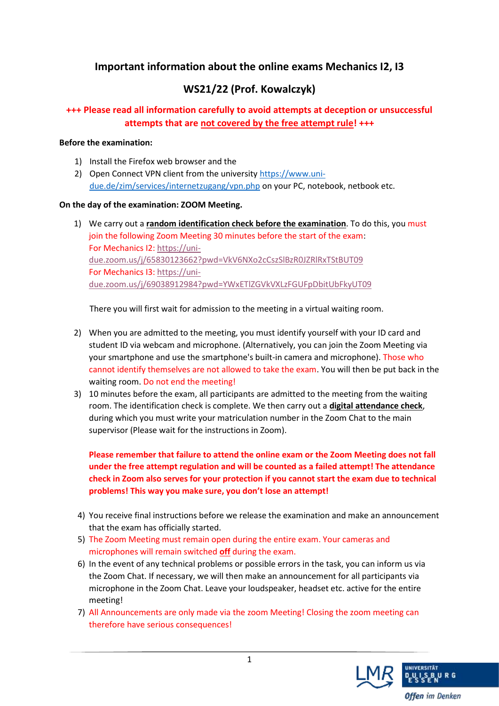# **Important information about the online exams Mechanics I2, I3**

## **WS21/22 (Prof. Kowalczyk)**

### **+++ Please read all information carefully to avoid attempts at deception or unsuccessful attempts that are not covered by the free attempt rule! +++**

#### **Before the examination:**

- 1) Install the Firefox web browser and the
- 2) Open Connect VPN client from the university [https://www.uni](https://www.uni-due.de/zim/services/internetzugang/vpn.php)[due.de/zim/services/internetzugang/vpn.php](https://www.uni-due.de/zim/services/internetzugang/vpn.php) on your PC, notebook, netbook etc.

#### **On the day of the examination: ZOOM Meeting.**

1) We carry out a **random identification check before the examination**. To do this, you must join the following Zoom Meeting 30 minutes before the start of the exam: For Mechanics I2[: https://uni](https://uni-due.zoom.us/j/65830123662?pwd=VkV6NXo2cCszSlBzR0JZRlRxTStBUT09)[due.zoom.us/j/65830123662?pwd=VkV6NXo2cCszSlBzR0JZRlRxTStBUT09](https://uni-due.zoom.us/j/65830123662?pwd=VkV6NXo2cCszSlBzR0JZRlRxTStBUT09) For Mechanics I3[: https://uni](https://uni-due.zoom.us/j/69038912984?pwd=YWxETlZGVkVXLzFGUFpDbitUbFkyUT09)[due.zoom.us/j/69038912984?pwd=YWxETlZGVkVXLzFGUFpDbitUbFkyUT09](https://uni-due.zoom.us/j/69038912984?pwd=YWxETlZGVkVXLzFGUFpDbitUbFkyUT09)

There you will first wait for admission to the meeting in a virtual waiting room.

- 2) When you are admitted to the meeting, you must identify yourself with your ID card and student ID via webcam and microphone. (Alternatively, you can join the Zoom Meeting via your smartphone and use the smartphone's built-in camera and microphone). Those who cannot identify themselves are not allowed to take the exam. You will then be put back in the waiting room. Do not end the meeting!
- 3) 10 minutes before the exam, all participants are admitted to the meeting from the waiting room. The identification check is complete. We then carry out a **digital attendance check**, during which you must write your matriculation number in the Zoom Chat to the main supervisor (Please wait for the instructions in Zoom).

**Please remember that failure to attend the online exam or the Zoom Meeting does not fall under the free attempt regulation and will be counted as a failed attempt! The attendance check in Zoom also serves for your protection if you cannot start the exam due to technical problems! This way you make sure, you don't lose an attempt!**

- 4) You receive final instructions before we release the examination and make an announcement that the exam has officially started.
- 5) The Zoom Meeting must remain open during the entire exam. Your cameras and microphones will remain switched **off** during the exam.
- 6) In the event of any technical problems or possible errors in the task, you can inform us via the Zoom Chat. If necessary, we will then make an announcement for all participants via microphone in the Zoom Chat. Leave your loudspeaker, headset etc. active for the entire meeting!
- 7) All Announcements are only made via the zoom Meeting! Closing the zoom meeting can therefore have serious consequences!

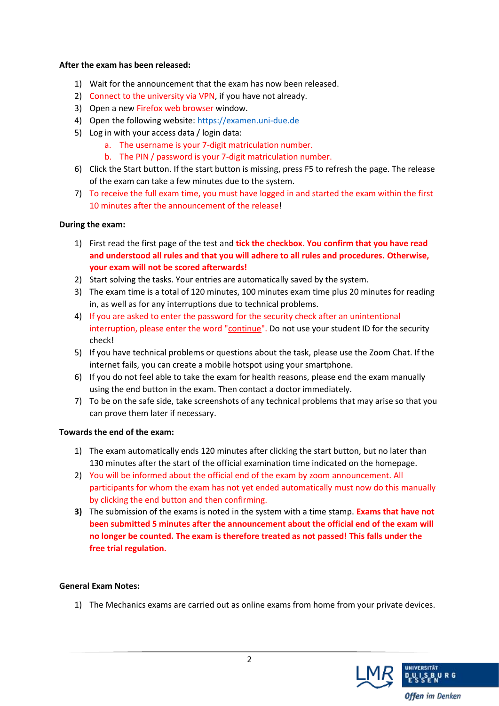#### **After the exam has been released:**

- 1) Wait for the announcement that the exam has now been released.
- 2) Connect to the university via VPN, if you have not already.
- 3) Open a new Firefox web browser window.
- 4) Open the following website: [https://examen.uni-due.de](https://examen.uni-due.de/)
- 5) Log in with your access data / login data:
	- a. The username is your 7-digit matriculation number.
	- b. The PIN / password is your 7-digit matriculation number.
- 6) Click the Start button. If the start button is missing, press F5 to refresh the page. The release of the exam can take a few minutes due to the system.
- 7) To receive the full exam time, you must have logged in and started the exam within the first 10 minutes after the announcement of the release!

#### **During the exam:**

- 1) First read the first page of the test and **tick the checkbox. You confirm that you have read and understood all rules and that you will adhere to all rules and procedures. Otherwise, your exam will not be scored afterwards!**
- 2) Start solving the tasks. Your entries are automatically saved by the system.
- 3) The exam time is a total of 120 minutes, 100 minutes exam time plus 20 minutes for reading in, as well as for any interruptions due to technical problems.
- 4) If you are asked to enter the password for the security check after an unintentional interruption, please enter the word "continue". Do not use your student ID for the security check!
- 5) If you have technical problems or questions about the task, please use the Zoom Chat. If the internet fails, you can create a mobile hotspot using your smartphone.
- 6) If you do not feel able to take the exam for health reasons, please end the exam manually using the end button in the exam. Then contact a doctor immediately.
- 7) To be on the safe side, take screenshots of any technical problems that may arise so that you can prove them later if necessary.

#### **Towards the end of the exam:**

- 1) The exam automatically ends 120 minutes after clicking the start button, but no later than 130 minutes after the start of the official examination time indicated on the homepage.
- 2) You will be informed about the official end of the exam by zoom announcement. All participants for whom the exam has not yet ended automatically must now do this manually by clicking the end button and then confirming.
- **3)** The submission of the exams is noted in the system with a time stamp. **Exams that have not been submitted 5 minutes after the announcement about the official end of the exam will no longer be counted. The exam is therefore treated as not passed! This falls under the free trial regulation.**

#### **General Exam Notes:**

1) The Mechanics exams are carried out as online exams from home from your private devices.